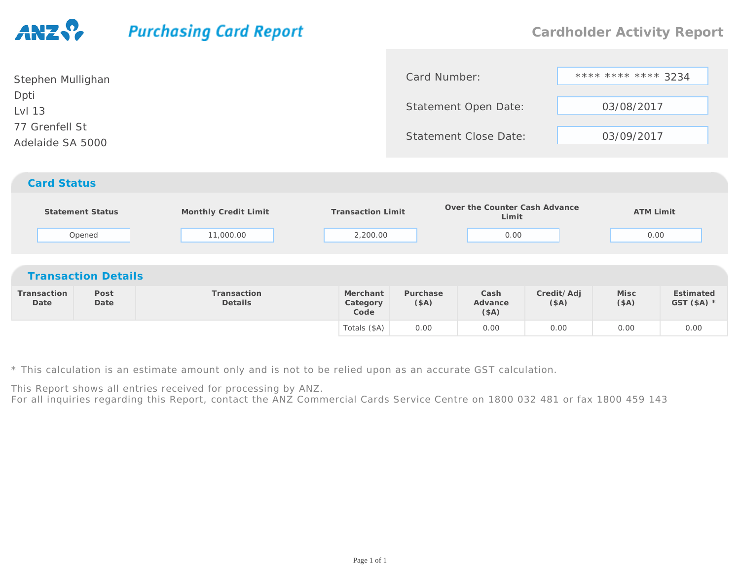## **Purchasing Card Report**

| Stephen Mullighan                  | Card Number:                 | **** **** **** 3234 |
|------------------------------------|------------------------------|---------------------|
| Dpti<br>Lvl 13                     | Statement Open Date:         | 03/08/2017          |
| 77 Grenfell St<br>Adelaide SA 5000 | <b>Statement Close Date:</b> | 03/09/2017          |
| <b>Card Status</b>                 |                              |                     |

|                     | <b>Statement Status</b><br>Opened | Monthly Credit Limit<br>11,000.00 | <b>Transaction Limit</b><br>2,200.00 |                  | Over the Counter Cash Advance<br>Limit<br>0.00 |                    | <b>ATM Limit</b><br>0.00 |                           |  |  |
|---------------------|-----------------------------------|-----------------------------------|--------------------------------------|------------------|------------------------------------------------|--------------------|--------------------------|---------------------------|--|--|
|                     | <b>Transaction Details</b>        |                                   |                                      |                  |                                                |                    |                          |                           |  |  |
| Transaction<br>Date | Post<br>Date                      | Transaction<br>Details            | Merchant<br>Category<br>Code         | Purchase<br>(SA) | Cash<br>Advance<br>(\$A)                       | Credit/Adj<br>(SA) | Misc<br>(SA)             | Estimated<br>GST $(SA)$ * |  |  |
|                     |                                   |                                   | Totals (\$A)                         | 0.00             | 0.00                                           | 0.00               | 0.00                     | 0.00                      |  |  |

\* This calculation is an estimate amount only and is not to be relied upon as an accurate GST calculation.

This Report shows all entries received for processing by ANZ.

For all inquiries regarding this Report, contact the ANZ Commercial Cards Service Centre on 1800 032 481 or fax 1800 459 143